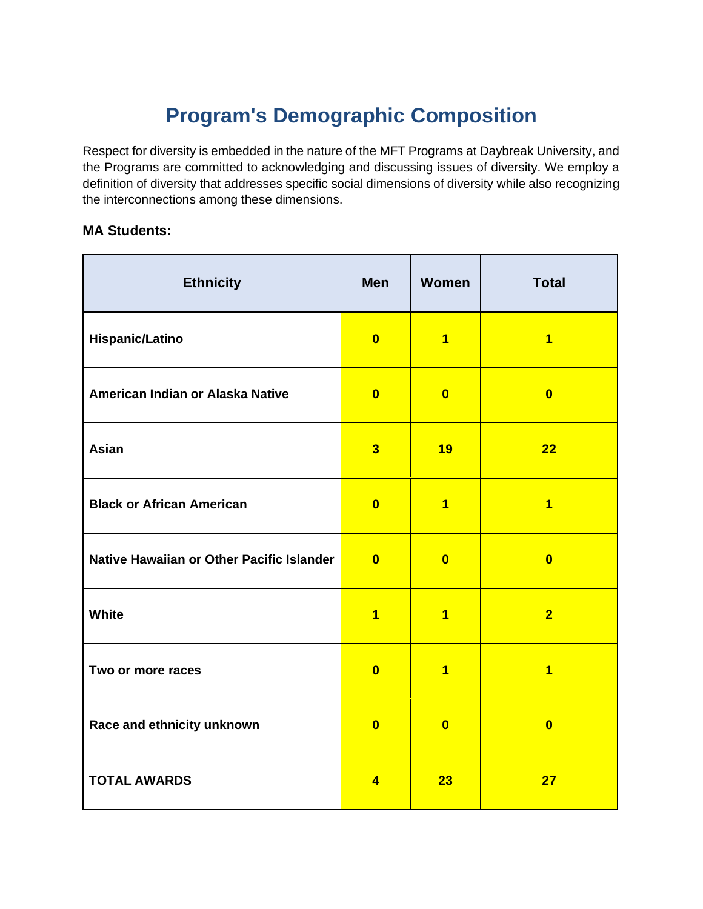# **Program's Demographic Composition**

Respect for diversity is embedded in the nature of the MFT Programs at Daybreak University, and the Programs are committed to acknowledging and discussing issues of diversity. We employ a definition of diversity that addresses specific social dimensions of diversity while also recognizing the interconnections among these dimensions.

#### **MA Students:**

| <b>Ethnicity</b>                          | <b>Men</b>              | Women                   | <b>Total</b>            |
|-------------------------------------------|-------------------------|-------------------------|-------------------------|
| <b>Hispanic/Latino</b>                    | $\overline{\mathbf{0}}$ | $\overline{1}$          | $\overline{\mathbf{1}}$ |
| American Indian or Alaska Native          | $\overline{\mathbf{0}}$ | $\overline{\mathbf{0}}$ | $\overline{\mathbf{0}}$ |
| Asian                                     | $\overline{\mathbf{3}}$ | 19                      | 22                      |
| <b>Black or African American</b>          | $\overline{\mathbf{0}}$ | $\overline{1}$          | $\overline{\mathbf{1}}$ |
| Native Hawaiian or Other Pacific Islander | $\overline{\mathbf{0}}$ | $\overline{\mathbf{0}}$ | $\overline{\mathbf{0}}$ |
| White                                     | $\overline{1}$          | $\overline{1}$          | $\overline{2}$          |
| Two or more races                         | $\overline{\mathbf{0}}$ | $\overline{1}$          | $\overline{\mathbf{1}}$ |
| Race and ethnicity unknown                | $\overline{\mathbf{0}}$ | $\overline{\mathbf{0}}$ | $\overline{\mathbf{0}}$ |
| <b>TOTAL AWARDS</b>                       | $\overline{4}$          | 23                      | 27                      |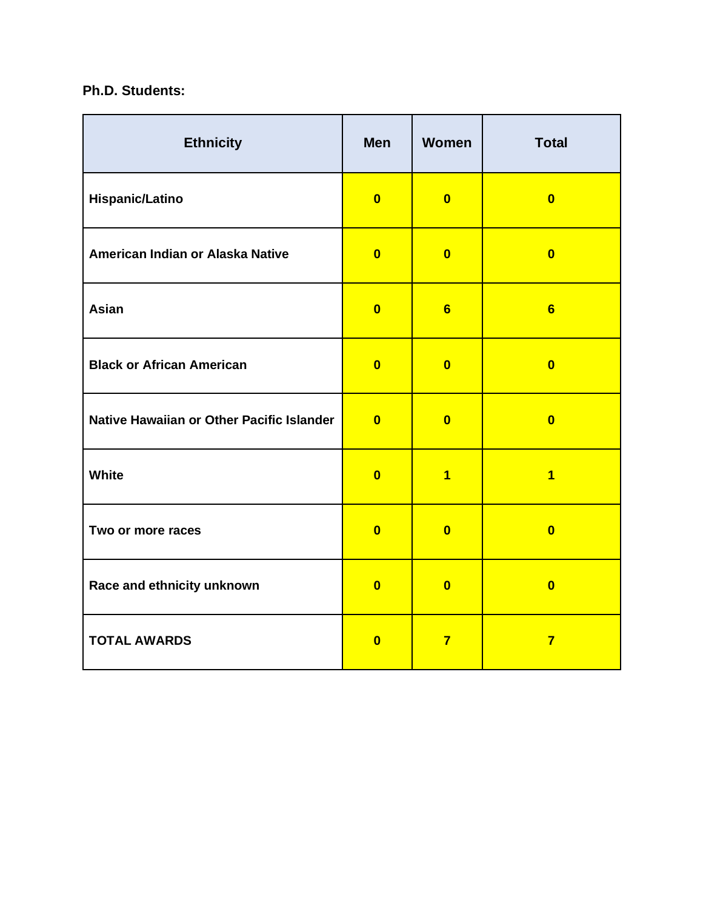#### **Ph.D. Students:**

| <b>Ethnicity</b>                          | <b>Men</b>              | Women                   | <b>Total</b>            |
|-------------------------------------------|-------------------------|-------------------------|-------------------------|
| <b>Hispanic/Latino</b>                    | $\overline{\mathbf{0}}$ | $\mathbf{0}$            | $\overline{\mathbf{0}}$ |
| American Indian or Alaska Native          | $\overline{\mathbf{0}}$ | $\mathbf{0}$            | $\overline{\mathbf{0}}$ |
| Asian                                     | $\overline{\mathbf{0}}$ | 6                       | 6                       |
| <b>Black or African American</b>          | $\overline{\mathbf{0}}$ | $\mathbf{0}$            | $\overline{\mathbf{0}}$ |
| Native Hawaiian or Other Pacific Islander | $\overline{\mathbf{0}}$ | $\mathbf{0}$            | $\mathbf{0}$            |
| White                                     | $\overline{\mathbf{0}}$ | $\overline{\mathbf{1}}$ | $\overline{\mathbf{1}}$ |
| Two or more races                         | $\overline{\mathbf{0}}$ | $\overline{\mathbf{0}}$ | $\overline{\mathbf{0}}$ |
| Race and ethnicity unknown                | $\overline{\mathbf{0}}$ | $\overline{\mathbf{0}}$ | $\overline{\mathbf{0}}$ |
| <b>TOTAL AWARDS</b>                       | $\overline{\mathbf{0}}$ | $\overline{7}$          | $\overline{7}$          |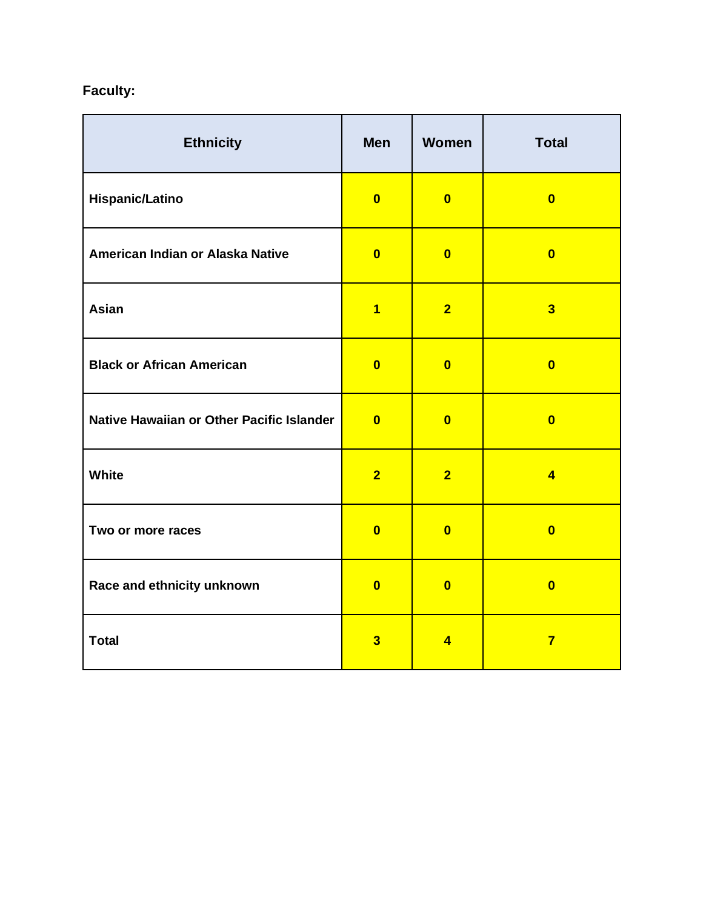## **Faculty:**

| <b>Ethnicity</b>                          | <b>Men</b>              | Women                   | <b>Total</b>            |
|-------------------------------------------|-------------------------|-------------------------|-------------------------|
| <b>Hispanic/Latino</b>                    | $\mathbf{0}$            | $\mathbf{0}$            | $\overline{\mathbf{0}}$ |
| American Indian or Alaska Native          | $\overline{\mathbf{0}}$ | $\overline{\mathbf{0}}$ | $\overline{\mathbf{0}}$ |
| Asian                                     | $\overline{\mathbf{1}}$ | $\overline{2}$          | $\overline{\mathbf{3}}$ |
| <b>Black or African American</b>          | $\overline{\mathbf{0}}$ | $\overline{\mathbf{0}}$ | $\overline{\mathbf{0}}$ |
| Native Hawaiian or Other Pacific Islander | $\overline{\mathbf{0}}$ | $\overline{\mathbf{0}}$ | $\overline{\mathbf{0}}$ |
| White                                     | $\overline{2}$          | $\overline{2}$          | $\overline{4}$          |
| Two or more races                         | $\overline{\mathbf{0}}$ | $\overline{\mathbf{0}}$ | $\overline{\mathbf{0}}$ |
| Race and ethnicity unknown                | $\overline{\mathbf{0}}$ | $\overline{\mathbf{0}}$ | $\overline{\mathbf{0}}$ |
| <b>Total</b>                              | $\overline{\mathbf{3}}$ | $\overline{4}$          | $\overline{7}$          |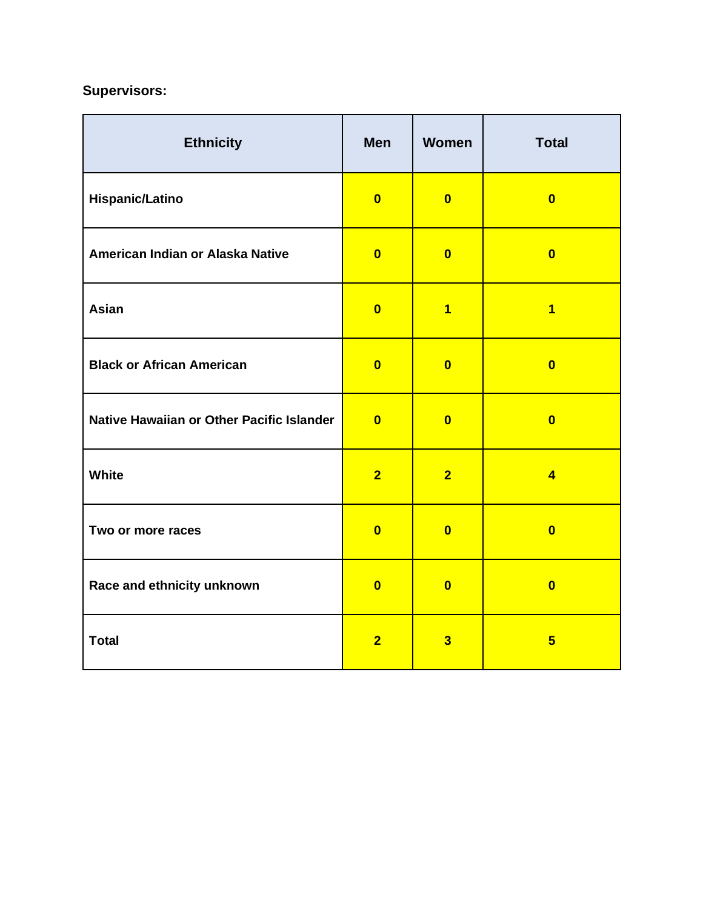## **Supervisors:**

| <b>Ethnicity</b>                          | <b>Men</b>              | Women                   | <b>Total</b>            |
|-------------------------------------------|-------------------------|-------------------------|-------------------------|
| <b>Hispanic/Latino</b>                    | $\overline{\mathbf{0}}$ | $\overline{\mathbf{0}}$ | $\overline{\mathbf{0}}$ |
| American Indian or Alaska Native          | $\overline{\mathbf{0}}$ | $\overline{\mathbf{0}}$ | $\overline{\mathbf{0}}$ |
| Asian                                     | $\overline{\mathbf{0}}$ | $\overline{1}$          | $\overline{1}$          |
| <b>Black or African American</b>          | $\overline{\mathbf{0}}$ | $\overline{\mathbf{0}}$ | $\overline{\mathbf{0}}$ |
| Native Hawaiian or Other Pacific Islander | $\overline{\mathbf{0}}$ | $\overline{\mathbf{0}}$ | $\overline{\mathbf{0}}$ |
| White                                     | $\overline{2}$          | $\overline{2}$          | $\overline{4}$          |
| Two or more races                         | $\overline{\mathbf{0}}$ | $\overline{\mathbf{0}}$ | $\overline{\mathbf{0}}$ |
| Race and ethnicity unknown                | $\overline{\mathbf{0}}$ | $\overline{\mathbf{0}}$ | $\overline{\mathbf{0}}$ |
| <b>Total</b>                              | $\overline{2}$          | $\overline{\mathbf{3}}$ | 5 <sup>5</sup>          |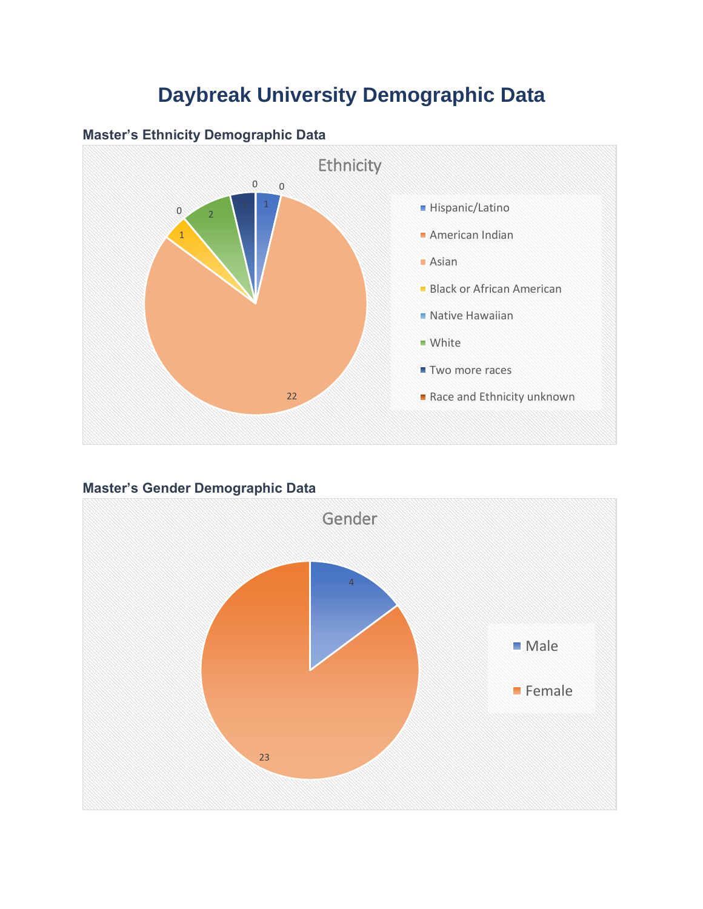# **Daybreak University Demographic Data**



#### **Master's Ethnicity Demographic Data**

## **Master's Gender Demographic Data**

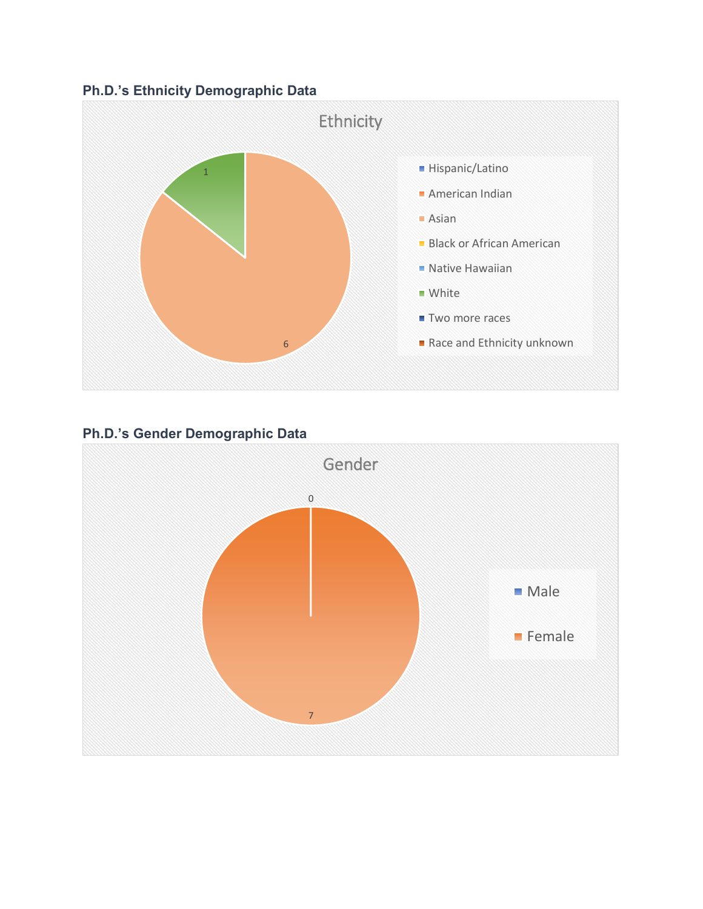## **Ph.D.'s Ethnicity Demographic Data**



## **Ph.D.'s Gender Demographic Data**

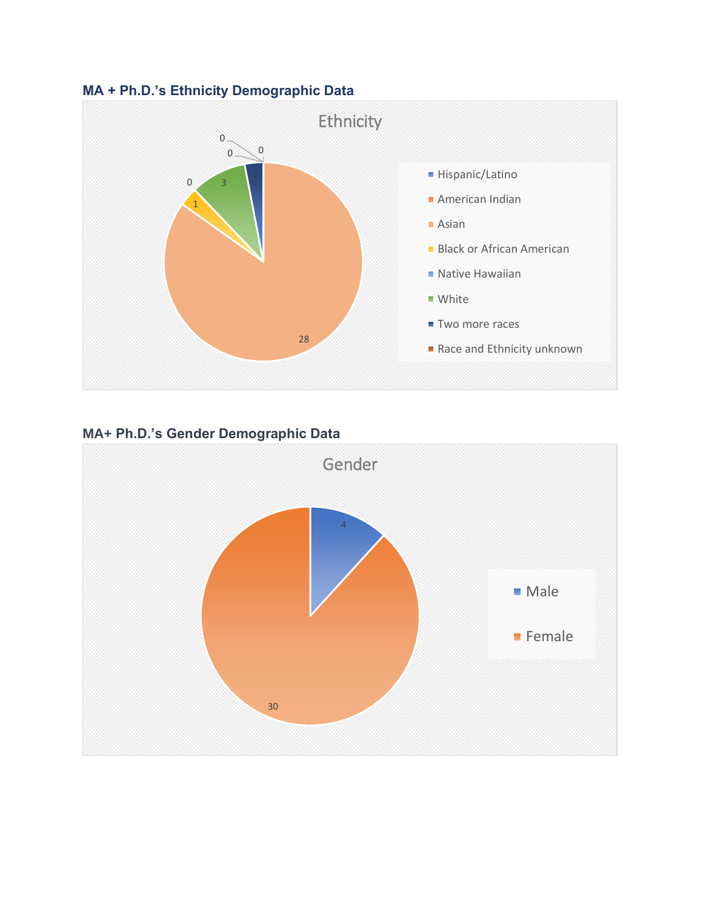



## **MA+ Ph.D.'s Gender Demographic Data**

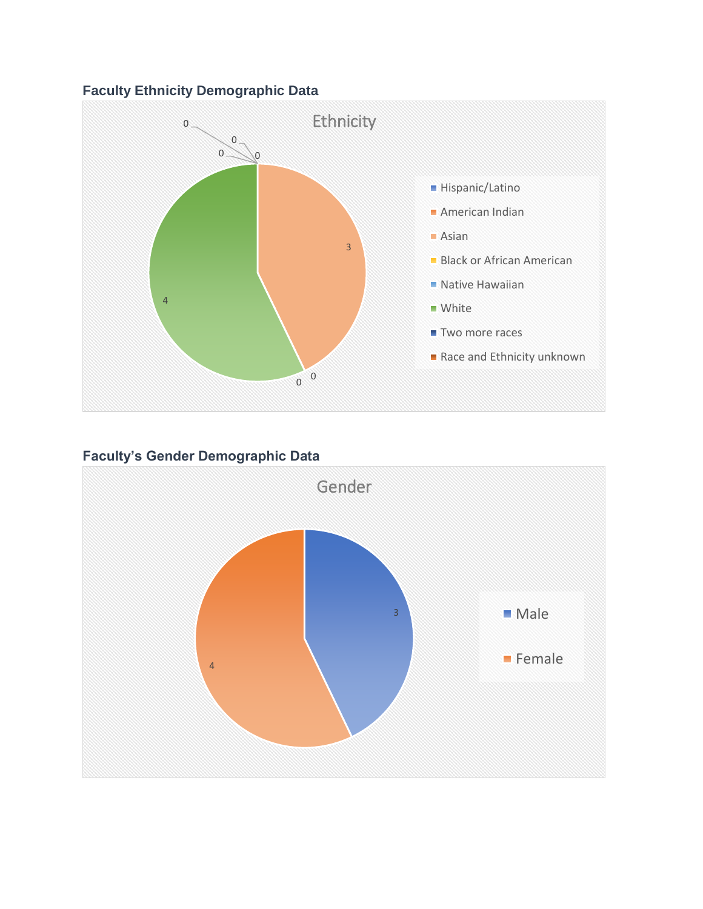## **Faculty Ethnicity Demographic Data**



#### **Faculty's Gender Demographic Data**